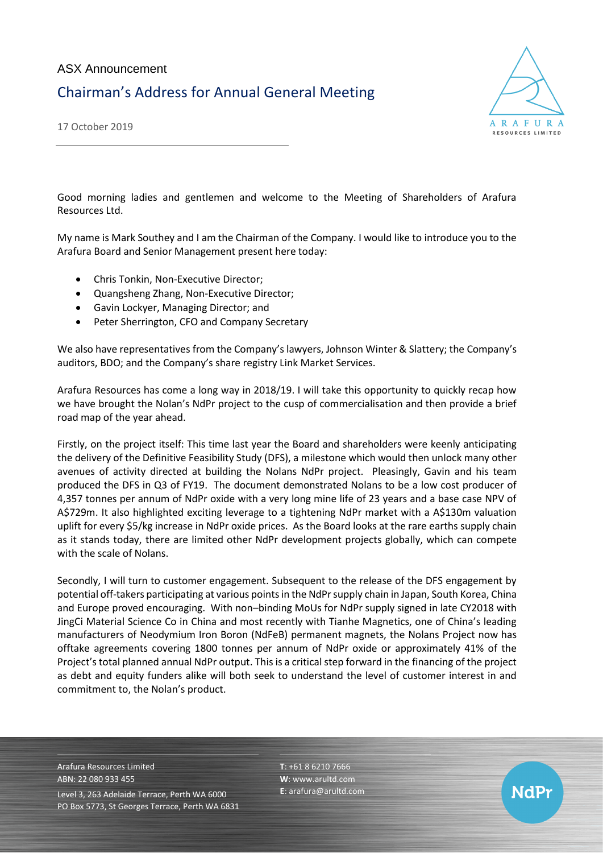

17 October 2019

Good morning ladies and gentlemen and welcome to the Meeting of Shareholders of Arafura Resources Ltd.

My name is Mark Southey and I am the Chairman of the Company. I would like to introduce you to the Arafura Board and Senior Management present here today:

- Chris Tonkin, Non-Executive Director;
- Quangsheng Zhang, Non-Executive Director;
- Gavin Lockyer, Managing Director; and
- Peter Sherrington, CFO and Company Secretary

We also have representatives from the Company's lawyers, Johnson Winter & Slattery; the Company's auditors, BDO; and the Company's share registry Link Market Services.

Arafura Resources has come a long way in 2018/19. I will take this opportunity to quickly recap how we have brought the Nolan's NdPr project to the cusp of commercialisation and then provide a brief road map of the year ahead.

Firstly, on the project itself: This time last year the Board and shareholders were keenly anticipating the delivery of the Definitive Feasibility Study (DFS), a milestone which would then unlock many other avenues of activity directed at building the Nolans NdPr project. Pleasingly, Gavin and his team produced the DFS in Q3 of FY19. The document demonstrated Nolans to be a low cost producer of 4,357 tonnes per annum of NdPr oxide with a very long mine life of 23 years and a base case NPV of A\$729m. It also highlighted exciting leverage to a tightening NdPr market with a A\$130m valuation uplift for every \$5/kg increase in NdPr oxide prices. As the Board looks at the rare earths supply chain as it stands today, there are limited other NdPr development projects globally, which can compete with the scale of Nolans.

Secondly, I will turn to customer engagement. Subsequent to the release of the DFS engagement by potential off-takers participating at various points in the NdPr supply chain in Japan, South Korea, China and Europe proved encouraging. With non–binding MoUs for NdPr supply signed in late CY2018 with JingCi Material Science Co in China and most recently with Tianhe Magnetics, one of China's leading manufacturers of Neodymium Iron Boron (NdFeB) permanent magnets, the Nolans Project now has offtake agreements covering 1800 tonnes per annum of NdPr oxide or approximately 41% of the Project's total planned annual NdPr output. This is a critical step forward in the financing of the project as debt and equity funders alike will both seek to understand the level of customer interest in and commitment to, the Nolan's product.

Arafura Resources Limited ABN: 22 080 933 455 Level 3, 263 Adelaide Terrace, Perth WA 6000 PO Box 5773, St Georges Terrace, Perth WA 6831 **T**: +61 8 6210 7666 **W**: [www.arultd.com](http://www.arultd.com/) **E**[: arafura@arultd.com](mailto:arafura@arultd.com)

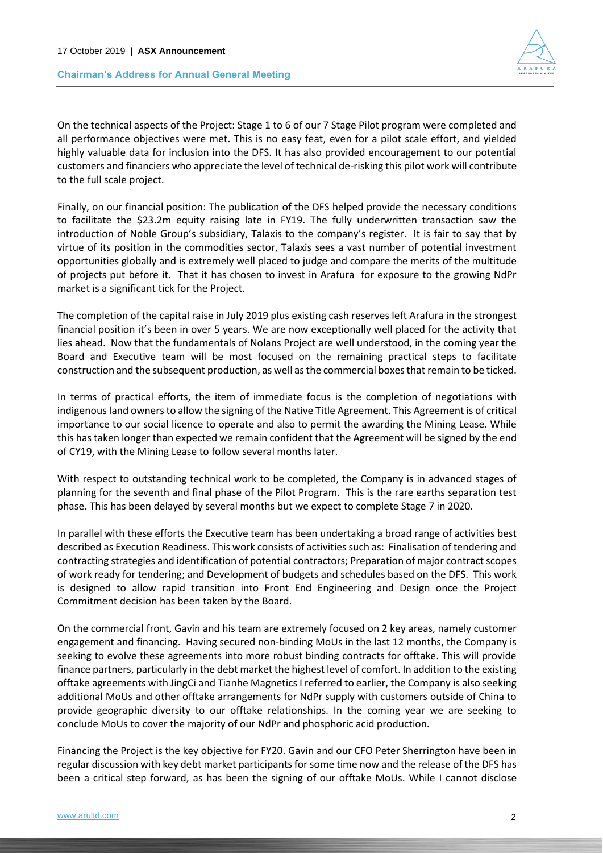



On the technical aspects of the Project: Stage 1 to 6 of our 7 Stage Pilot program were completed and all performance objectives were met. This is no easy feat, even for a pilot scale effort, and yielded highly valuable data for inclusion into the DFS. It has also provided encouragement to our potential customers and financiers who appreciate the level of technical de-risking this pilot work will contribute to the full scale project.

Finally, on our financial position: The publication of the DFS helped provide the necessary conditions to facilitate the \$23.2m equity raising late in FY19. The fully underwritten transaction saw the introduction of Noble Group's subsidiary, Talaxis to the company's register. It is fair to say that by virtue of its position in the commodities sector, Talaxis sees a vast number of potential investment opportunities globally and is extremely well placed to judge and compare the merits of the multitude of projects put before it. That it has chosen to invest in Arafura for exposure to the growing NdPr market is a significant tick for the Project.

The completion of the capital raise in July 2019 plus existing cash reserves left Arafura in the strongest financial position it's been in over 5 years. We are now exceptionally well placed for the activity that lies ahead. Now that the fundamentals of Nolans Project are well understood, in the coming year the Board and Executive team will be most focused on the remaining practical steps to facilitate construction and the subsequent production, as well as the commercial boxes that remain to be ticked.

In terms of practical efforts, the item of immediate focus is the completion of negotiations with indigenous land owners to allow the signing of the Native Title Agreement. This Agreement is of critical importance to our social licence to operate and also to permit the awarding the Mining Lease. While this has taken longer than expected we remain confident that the Agreement will be signed by the end of CY19, with the Mining Lease to follow several months later.

With respect to outstanding technical work to be completed, the Company is in advanced stages of planning for the seventh and final phase of the Pilot Program. This is the rare earths separation test phase. This has been delayed by several months but we expect to complete Stage 7 in 2020.

In parallel with these efforts the Executive team has been undertaking a broad range of activities best described as Execution Readiness. This work consists of activities such as: Finalisation of tendering and contracting strategies and identification of potential contractors; Preparation of major contract scopes of work ready for tendering; and Development of budgets and schedules based on the DFS. This work is designed to allow rapid transition into Front End Engineering and Design once the Project Commitment decision has been taken by the Board.

On the commercial front, Gavin and his team are extremely focused on 2 key areas, namely customer engagement and financing. Having secured non-binding MoUs in the last 12 months, the Company is seeking to evolve these agreements into more robust binding contracts for offtake. This will provide finance partners, particularly in the debt market the highest level of comfort. In addition to the existing offtake agreements with JingCi and Tianhe Magnetics I referred to earlier, the Company is also seeking additional MoUs and other offtake arrangements for NdPr supply with customers outside of China to provide geographic diversity to our offtake relationships. In the coming year we are seeking to conclude MoUs to cover the majority of our NdPr and phosphoric acid production.

Financing the Project is the key objective for FY20. Gavin and our CFO Peter Sherrington have been in regular discussion with key debt market participants for some time now and the release of the DFS has been a critical step forward, as has been the signing of our offtake MoUs. While I cannot disclose